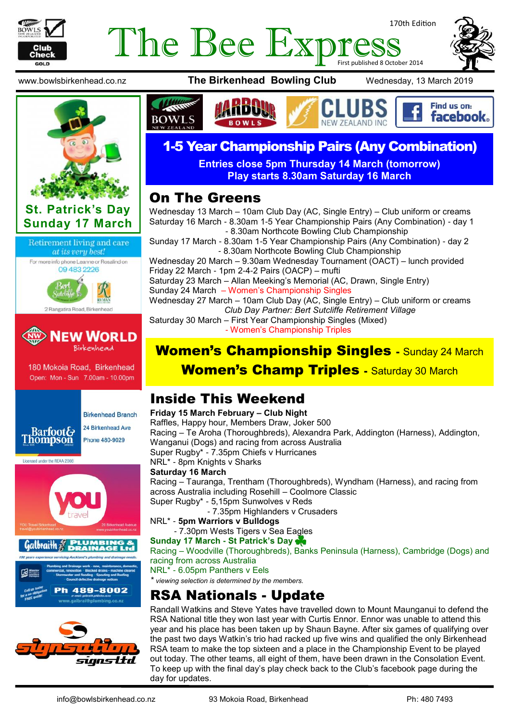

# 170th Edition The Bee Express









180 Mokoia Road, Birkenhead Open: Mon - Sun 7.00am - 10.00pm



**Birkenhead Branch** 24 Birkenhead Ave Phone 480-9029

Licensed under the REAA 2008





www.bowlsbirkenhead.co.nz **The Birkenhead Bowling Club** Wednesday, 13 March 2019



# 1-5 Year Championship Pairs (Any Combination)

**Entries close 5pm Thursday 14 March (tomorrow) Play starts 8.30am Saturday 16 March**

#### On The Greens

Wednesday 13 March – 10am Club Day (AC, Single Entry) – Club uniform or creams Saturday 16 March - 8.30am 1-5 Year Championship Pairs (Any Combination) - day 1 - 8.30am Northcote Bowling Club Championship

Sunday 17 March - 8.30am 1-5 Year Championship Pairs (Any Combination) - day 2 - 8.30am Northcote Bowling Club Championship

Wednesday 20 March – 9.30am Wednesday Tournament (OACT) – lunch provided Friday 22 March - 1pm 2-4-2 Pairs (OACP) – mufti

Saturday 23 March – Allan Meeking's Memorial (AC, Drawn, Single Entry) Sunday 24 March – Women's Championship Singles

Wednesday 27 March – 10am Club Day (AC, Single Entry) – Club uniform or creams *Club Day Partner: Bert Sutcliffe Retirement Village*

Saturday 30 March – First Year Championship Singles (Mixed) - Women's Championship Triples

## Women's Championship Singles - Sunday 24 March

#### **Women's Champ Triples - Saturday 30 March**

### Inside This Weekend

**Friday 15 March February – Club Night**  Raffles, Happy hour, Members Draw, Joker 500 Racing – Te Aroha (Thoroughbreds), Alexandra Park, Addington (Harness), Addington, Wanganui (Dogs) and racing from across Australia Super Rugby\* - 7.35pm Chiefs v Hurricanes NRL\* - 8pm Knights v Sharks **Saturday 16 March**  Racing – Tauranga, Trentham (Thoroughbreds), Wyndham (Harness), and racing from across Australia including Rosehill – Coolmore Classic Super Rugby\* - 5,15pm Sunwolves v Reds - 7.35pm Highlanders v Crusaders NRL\* - **5pm Warriors v Bulldogs** - 7.30pm Wests Tigers v Sea Eagles

#### **Sunday 17 March - St Patrick's Day**

Racing – Woodville (Thoroughbreds), Banks Peninsula (Harness), Cambridge (Dogs) and racing from across Australia

NRL\* - 6.05pm Panthers v Eels

*\* viewing selection is determined by the members.*

## RSA Nationals - Update

Randall Watkins and Steve Yates have travelled down to Mount Maunganui to defend the RSA National title they won last year with Curtis Ennor. Ennor was unable to attend this year and his place has been taken up by Shaun Bayne. After six games of qualifying over the past two days Watkin's trio had racked up five wins and qualified the only Birkenhead RSA team to make the top sixteen and a place in the Championship Event to be played out today. The other teams, all eight of them, have been drawn in the Consolation Event. To keep up with the final day's play check back to the Club's facebook page during the day for updates.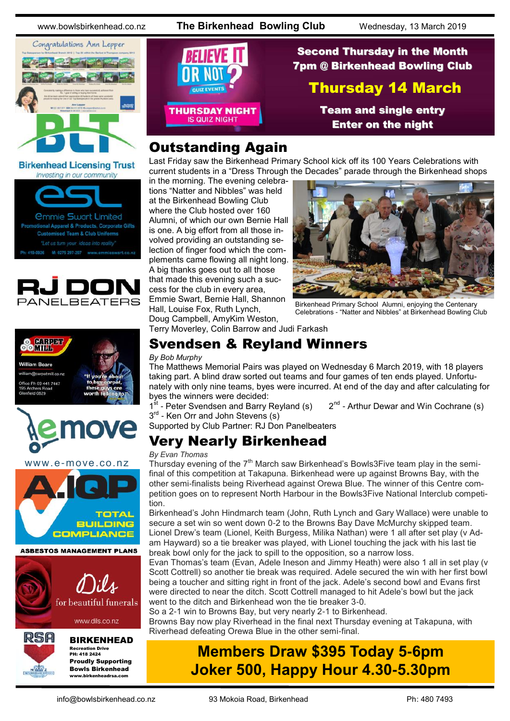www.bowlsbirkenhead.co.nz **The Birkenhead Bowling Club** Wednesday, 13 March 2019



#### **Birkenhead Licensing Trust** Investing in our community









www.e-move.co.nz





www.dils.co.nz



# BIRKENHEAD

Recreation Drive PH: 418 2424 Proudly Supporting Bowls Birkenhead www.birkenheadrsa.com



### Second Thursday in the Month 7pm @ Birkenhead Bowling Club

#### Thursday 14 March

Team and single entry Enter on the night

## Outstanding Again

Last Friday saw the Birkenhead Primary School kick off its 100 Years Celebrations with current students in a "Dress Through the Decades" parade through the Birkenhead shops

in the morning. The evening celebrations "Natter and Nibbles" was held at the Birkenhead Bowling Club where the Club hosted over 160 Alumni, of which our own Bernie Hall is one. A big effort from all those involved providing an outstanding selection of finger food which the complements came flowing all night long. A big thanks goes out to all those that made this evening such a success for the club in every area, Emmie Swart, Bernie Hall, Shannon Hall, Louise Fox, Ruth Lynch, Doug Campbell, [AmyKim Weston,](https://www.facebook.com/profile.php?id=585928791&ref=br_rs)



Birkenhead Primary School Alumni, enjoying the Centenary Celebrations - "Natter and Nibbles" at Birkenhead Bowling Club

Terry Moverley, Colin Barrow and Judi Farkash

#### Svendsen & Reyland Winners

#### *By Bob Murphy*

The Matthews Memorial Pairs was played on Wednesday 6 March 2019, with 18 players taking part. A blind draw sorted out teams and four games of ten ends played. Unfortunately with only nine teams, byes were incurred. At end of the day and after calculating for byes the winners were decided:

1<sup>st</sup> - Peter Svendsen and Barry Reyland (s) 2<sup>nd</sup>  $2<sup>nd</sup>$  - Arthur Dewar and Win Cochrane (s) 3<sup>rd</sup> - Ken Orr and John Stevens (s)

Supported by Club Partner: RJ Don Panelbeaters

# Very Nearly Birkenhead

#### *By Evan Thomas*

Thursday evening of the  $7<sup>th</sup>$  March saw Birkenhead's Bowls3Five team play in the semifinal of this competition at Takapuna. Birkenhead were up against Browns Bay, with the other semi-finalists being Riverhead against Orewa Blue. The winner of this Centre competition goes on to represent North Harbour in the Bowls3Five National Interclub competition.

Birkenhead's John Hindmarch team (John, Ruth Lynch and Gary Wallace) were unable to secure a set win so went down 0-2 to the Browns Bay Dave McMurchy skipped team. Lionel Drew's team (Lionel, Keith Burgess, Milika Nathan) were 1 all after set play (v Adam Hayward) so a tie breaker was played, with Lionel touching the jack with his last tie break bowl only for the jack to spill to the opposition, so a narrow loss.

Evan Thomas's team (Evan, Adele Ineson and Jimmy Heath) were also 1 all in set play (v Scott Cottrell) so another tie break was required. Adele secured the win with her first bowl being a toucher and sitting right in front of the jack. Adele's second bowl and Evans first were directed to near the ditch. Scott Cottrell managed to hit Adele's bowl but the jack went to the ditch and Birkenhead won the tie breaker 3-0.

So a 2-1 win to Browns Bay, but very nearly 2-1 to Birkenhead.

Browns Bay now play Riverhead in the final next Thursday evening at Takapuna, with Riverhead defeating Orewa Blue in the other semi-final.

# **Members Draw \$395 Today 5-6pm Joker 500, Happy Hour 4.30-5.30pm**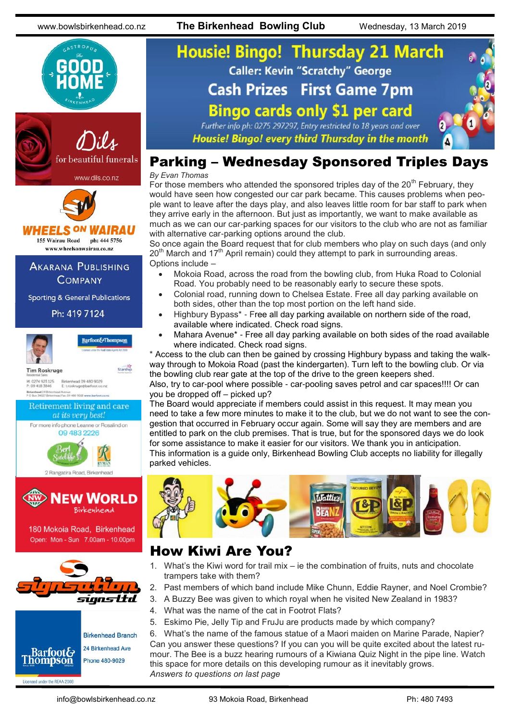www.bowlsbirkenhead.co.nz **The Birkenhead Bowling Club** Wednesday, 13 March 2019



# **Housie! Bingo! Thursday 21 March Caller: Kevin "Scratchy" George Cash Prizes First Game 7pm Bingo cards only \$1 per card** Further info ph: 0275 297297, Entry restricted to 18 years and over

Housie! Bingo! every third Thursday in the month



#### Parking – Wednesday Sponsored Triples Days

*By Evan Thomas*

For those members who attended the sponsored triples day of the  $20<sup>th</sup>$  February, they would have seen how congested our car park became. This causes problems when people want to leave after the days play, and also leaves little room for bar staff to park when they arrive early in the afternoon. But just as importantly, we want to make available as much as we can our car-parking spaces for our visitors to the club who are not as familiar with alternative car-parking options around the club.

So once again the Board request that for club members who play on such days (and only  $20<sup>th</sup>$  March and 17<sup>th</sup> April remain) could they attempt to park in surrounding areas. Options include –

- Mokoia Road, across the road from the bowling club, from Huka Road to Colonial Road. You probably need to be reasonably early to secure these spots.
- Colonial road, running down to Chelsea Estate. Free all day parking available on both sides, other than the top most portion on the left hand side.
- Highbury Bypass\* Free all day parking available on northern side of the road, available where indicated. Check road signs.
- Mahara Avenue\* Free all day parking available on both sides of the road available where indicated. Check road signs.

\* Access to the club can then be gained by crossing Highbury bypass and taking the walkway through to Mokoia Road (past the kindergarten). Turn left to the bowling club. Or via the bowling club rear gate at the top of the drive to the green keepers shed. Also, try to car-pool where possible - car-pooling saves petrol and car spaces!!!! Or can

you be dropped off – picked up?

The Board would appreciate if members could assist in this request. It may mean you need to take a few more minutes to make it to the club, but we do not want to see the congestion that occurred in February occur again. Some will say they are members and are entitled to park on the club premises. That is true, but for the sponsored days we do look for some assistance to make it easier for our visitors. We thank you in anticipation. This information is a guide only, Birkenhead Bowling Club accepts no liability for illegally parked vehicles.



### How Kiwi Are You?

- 1. What's the Kiwi word for trail mix ie the combination of fruits, nuts and chocolate trampers take with them?
- 2. Past members of which band include Mike Chunn, Eddie Rayner, and Noel Crombie?
- 3. A Buzzy Bee was given to which royal when he visited New Zealand in 1983?
- 4. What was the name of the cat in Footrot Flats?
- 5. Eskimo Pie, Jelly Tip and FruJu are products made by which company?

6. What's the name of the famous statue of a Maori maiden on Marine Parade, Napier? Can you answer these questions? If you can you will be quite excited about the latest rumour. The Bee is a buzz hearing rumours of a Kiwiana Quiz Night in the pipe line. Watch this space for more details on this developing rumour as it inevitably grows. *Answers to questions on last page*

Licensed under the REAA 2008